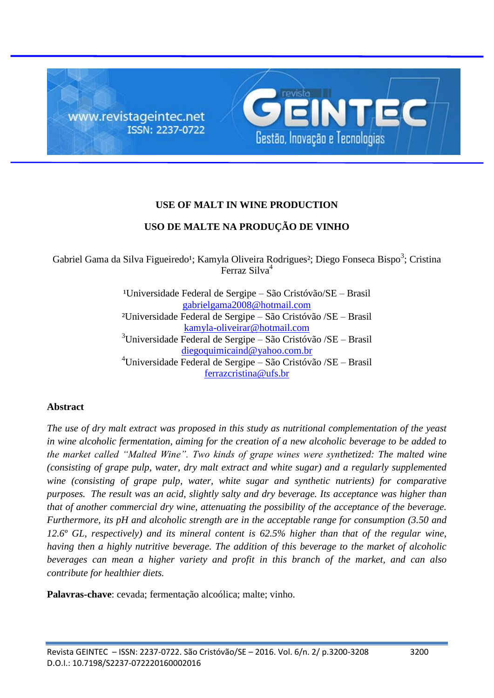

# **USE OF MALT IN WINE PRODUCTION**

# **USO DE MALTE NA PRODUÇÃO DE VINHO**

Gabriel Gama da Silva Figueiredo<sup>1</sup>; Kamyla Oliveira Rodrigues<sup>2</sup>; Diego Fonseca Bispo<sup>3</sup>; Cristina Ferraz Silva<sup>4</sup>

> $1$ Universidade Federal de Sergipe – São Cristóvão/SE – Brasil [gabrielgama2008@hotmail.com](mailto:gabrielgama2008@hotmail.com) ²Universidade Federal de Sergipe – São Cristóvão /SE – Brasil [kamyla-oliveirar@hotmail.com](mailto:kamyla-oliveirar@hotmail.com) <sup>3</sup>Universidade Federal de Sergipe – São Cristóvão /SE – Brasil [diegoquimicaind@yahoo.com.br](mailto:diegoquimicaind@yahoo.com.br)  $4$ Universidade Federal de Sergipe – São Cristóvão /SE – Brasil [ferrazcristina@ufs.br](mailto:ferrazcristina@ufs.br)

## **Abstract**

*The use of dry malt extract was proposed in this study as nutritional complementation of the yeast in wine alcoholic fermentation, aiming for the creation of a new alcoholic beverage to be added to the market called "Malted Wine". Two kinds of grape wines were synthetized: The malted wine (consisting of grape pulp, water, dry malt extract and white sugar) and a regularly supplemented wine (consisting of grape pulp, water, white sugar and synthetic nutrients) for comparative purposes. The result was an acid, slightly salty and dry beverage. Its acceptance was higher than that of another commercial dry wine, attenuating the possibility of the acceptance of the beverage. Furthermore, its pH and alcoholic strength are in the acceptable range for consumption (3.50 and 12.6º GL, respectively) and its mineral content is 62.5% higher than that of the regular wine, having then a highly nutritive beverage. The addition of this beverage to the market of alcoholic beverages can mean a higher variety and profit in this branch of the market, and can also contribute for healthier diets.*

**Palavras-chave**: cevada; fermentação alcoólica; malte; vinho.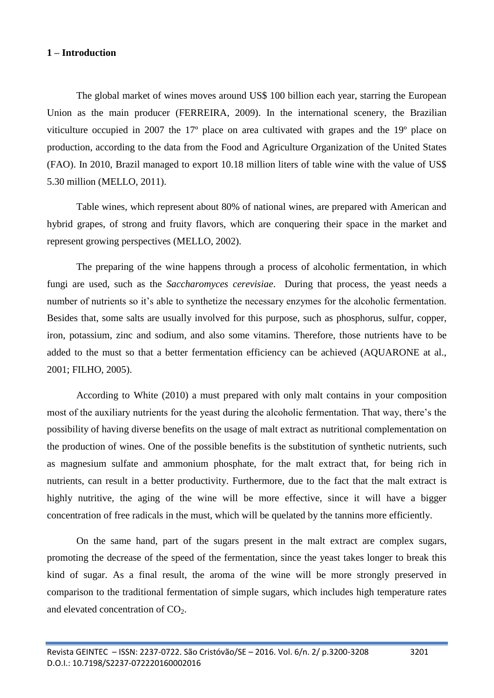### **1 – Introduction**

The global market of wines moves around US\$ 100 billion each year, starring the European Union as the main producer (FERREIRA, 2009). In the international scenery, the Brazilian viticulture occupied in 2007 the 17º place on area cultivated with grapes and the 19º place on production, according to the data from the Food and Agriculture Organization of the United States (FAO). In 2010, Brazil managed to export 10.18 million liters of table wine with the value of US\$ 5.30 million (MELLO, 2011).

Table wines, which represent about 80% of national wines, are prepared with American and hybrid grapes, of strong and fruity flavors, which are conquering their space in the market and represent growing perspectives (MELLO, 2002).

The preparing of the wine happens through a process of alcoholic fermentation, in which fungi are used, such as the *Saccharomyces cerevisiae*. During that process, the yeast needs a number of nutrients so it's able to synthetize the necessary enzymes for the alcoholic fermentation. Besides that, some salts are usually involved for this purpose, such as phosphorus, sulfur, copper, iron, potassium, zinc and sodium, and also some vitamins. Therefore, those nutrients have to be added to the must so that a better fermentation efficiency can be achieved (AQUARONE at al., 2001; FILHO, 2005).

According to White (2010) a must prepared with only malt contains in your composition most of the auxiliary nutrients for the yeast during the alcoholic fermentation. That way, there's the possibility of having diverse benefits on the usage of malt extract as nutritional complementation on the production of wines. One of the possible benefits is the substitution of synthetic nutrients, such as magnesium sulfate and ammonium phosphate, for the malt extract that, for being rich in nutrients, can result in a better productivity. Furthermore, due to the fact that the malt extract is highly nutritive, the aging of the wine will be more effective, since it will have a bigger concentration of free radicals in the must, which will be quelated by the tannins more efficiently.

On the same hand, part of the sugars present in the malt extract are complex sugars, promoting the decrease of the speed of the fermentation, since the yeast takes longer to break this kind of sugar. As a final result, the aroma of the wine will be more strongly preserved in comparison to the traditional fermentation of simple sugars, which includes high temperature rates and elevated concentration of  $CO<sub>2</sub>$ .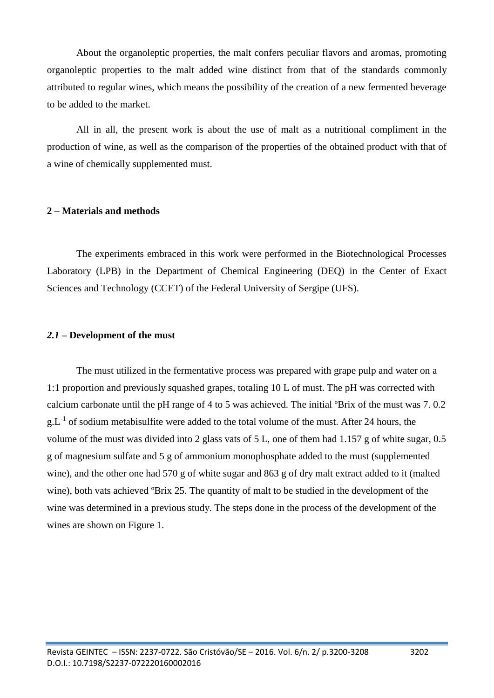About the organoleptic properties, the malt confers peculiar flavors and aromas, promoting organoleptic properties to the malt added wine distinct from that of the standards commonly attributed to regular wines, which means the possibility of the creation of a new fermented beverage to be added to the market.

All in all, the present work is about the use of malt as a nutritional compliment in the production of wine, as well as the comparison of the properties of the obtained product with that of a wine of chemically supplemented must.

#### **2 – Materials and methods**

The experiments embraced in this work were performed in the Biotechnological Processes Laboratory (LPB) in the Department of Chemical Engineering (DEQ) in the Center of Exact Sciences and Technology (CCET) of the Federal University of Sergipe (UFS).

#### *2.1 –* **Development of the must**

The must utilized in the fermentative process was prepared with grape pulp and water on a 1:1 proportion and previously squashed grapes, totaling 10 L of must. The pH was corrected with calcium carbonate until the pH range of 4 to 5 was achieved. The initial ºBrix of the must was 7. 0.2  $g.L^{-1}$  of sodium metabisulfite were added to the total volume of the must. After 24 hours, the volume of the must was divided into 2 glass vats of 5 L, one of them had 1.157 g of white sugar, 0.5 g of magnesium sulfate and 5 g of ammonium monophosphate added to the must (supplemented wine), and the other one had 570 g of white sugar and 863 g of dry malt extract added to it (malted wine), both vats achieved <sup>o</sup>Brix 25. The quantity of malt to be studied in the development of the wine was determined in a previous study. The steps done in the process of the development of the wines are shown on Figure 1.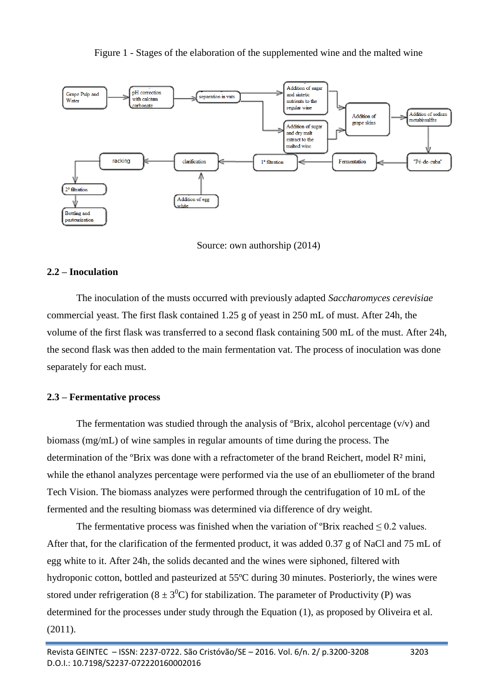### Figure 1 - Stages of the elaboration of the supplemented wine and the malted wine





# **2.2 – Inoculation**

The inoculation of the musts occurred with previously adapted *Saccharomyces cerevisiae*  commercial yeast. The first flask contained 1.25 g of yeast in 250 mL of must. After 24h, the volume of the first flask was transferred to a second flask containing 500 mL of the must. After 24h, the second flask was then added to the main fermentation vat. The process of inoculation was done separately for each must.

## **2.3 – Fermentative process**

The fermentation was studied through the analysis of  $\mathcal{B}$ rix, alcohol percentage (v/v) and biomass (mg/mL) of wine samples in regular amounts of time during the process. The determination of the <sup>o</sup>Brix was done with a refractometer of the brand Reichert, model R<sup>2</sup> mini, while the ethanol analyzes percentage were performed via the use of an ebulliometer of the brand Tech Vision. The biomass analyzes were performed through the centrifugation of 10 mL of the fermented and the resulting biomass was determined via difference of dry weight.

The fermentative process was finished when the variation of  $\textdegree$ Brix reached  $\leq 0.2$  values. After that, for the clarification of the fermented product, it was added 0.37 g of NaCl and 75 mL of egg white to it. After 24h, the solids decanted and the wines were siphoned, filtered with hydroponic cotton, bottled and pasteurized at 55ºC during 30 minutes. Posteriorly, the wines were stored under refrigeration ( $8 \pm 3^0$ C) for stabilization. The parameter of Productivity (P) was determined for the processes under study through the Equation (1), as proposed by Oliveira et al. (2011).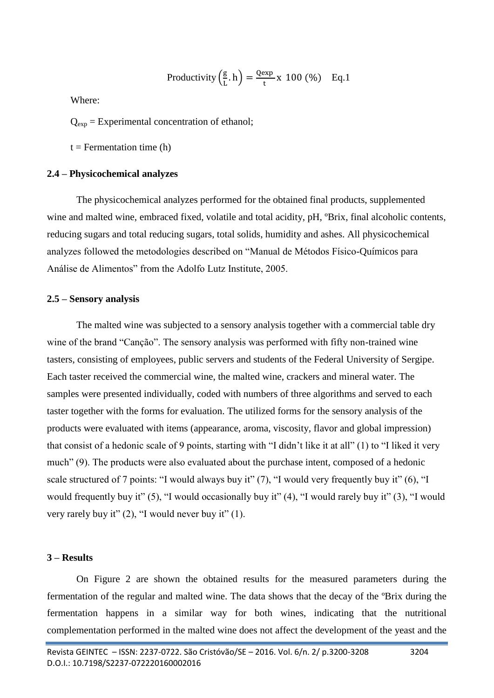Productivity 
$$
\left(\frac{g}{L}, h\right) = \frac{Q \exp}{t} x 100 \, (\%)
$$
 Eq.1

Where:

 $Q_{\text{exp}}$  = Experimental concentration of ethanol;

 $t = Fermentation time (h)$ 

#### **2.4 – Physicochemical analyzes**

The physicochemical analyzes performed for the obtained final products, supplemented wine and malted wine, embraced fixed, volatile and total acidity, pH, °Brix, final alcoholic contents, reducing sugars and total reducing sugars, total solids, humidity and ashes. All physicochemical analyzes followed the metodologies described on "Manual de Métodos Físico-Químicos para Análise de Alimentos" from the Adolfo Lutz Institute, 2005.

#### **2.5 – Sensory analysis**

The malted wine was subjected to a sensory analysis together with a commercial table dry wine of the brand "Canção". The sensory analysis was performed with fifty non-trained wine tasters, consisting of employees, public servers and students of the Federal University of Sergipe. Each taster received the commercial wine, the malted wine, crackers and mineral water. The samples were presented individually, coded with numbers of three algorithms and served to each taster together with the forms for evaluation. The utilized forms for the sensory analysis of the products were evaluated with items (appearance, aroma, viscosity, flavor and global impression) that consist of a hedonic scale of 9 points, starting with "I didn't like it at all" (1) to "I liked it very much" (9). The products were also evaluated about the purchase intent, composed of a hedonic scale structured of 7 points: "I would always buy it" (7), "I would very frequently buy it" (6), "I would frequently buy it" (5), "I would occasionally buy it" (4), "I would rarely buy it" (3), "I would very rarely buy it" (2), "I would never buy it" (1).

### **3 – Results**

On Figure 2 are shown the obtained results for the measured parameters during the fermentation of the regular and malted wine. The data shows that the decay of the ºBrix during the fermentation happens in a similar way for both wines, indicating that the nutritional complementation performed in the malted wine does not affect the development of the yeast and the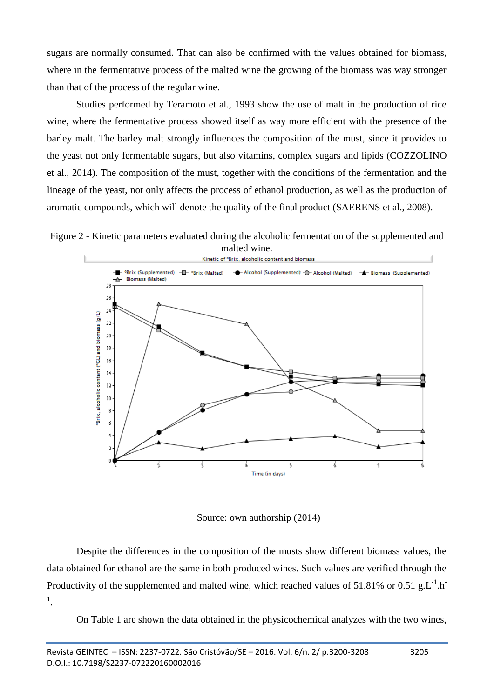sugars are normally consumed. That can also be confirmed with the values obtained for biomass, where in the fermentative process of the malted wine the growing of the biomass was way stronger than that of the process of the regular wine.

Studies performed by Teramoto et al., 1993 show the use of malt in the production of rice wine, where the fermentative process showed itself as way more efficient with the presence of the barley malt. The barley malt strongly influences the composition of the must, since it provides to the yeast not only fermentable sugars, but also vitamins, complex sugars and lipids (COZZOLINO et al., 2014). The composition of the must, together with the conditions of the fermentation and the lineage of the yeast, not only affects the process of ethanol production, as well as the production of aromatic compounds, which will denote the quality of the final product (SAERENS et al., 2008).





Source: own authorship (2014)

Despite the differences in the composition of the musts show different biomass values, the data obtained for ethanol are the same in both produced wines. Such values are verified through the Productivity of the supplemented and malted wine, which reached values of 51.81% or 0.51 g.L<sup>-1</sup>.h<sup>-</sup> 1 .

On Table 1 are shown the data obtained in the physicochemical analyzes with the two wines,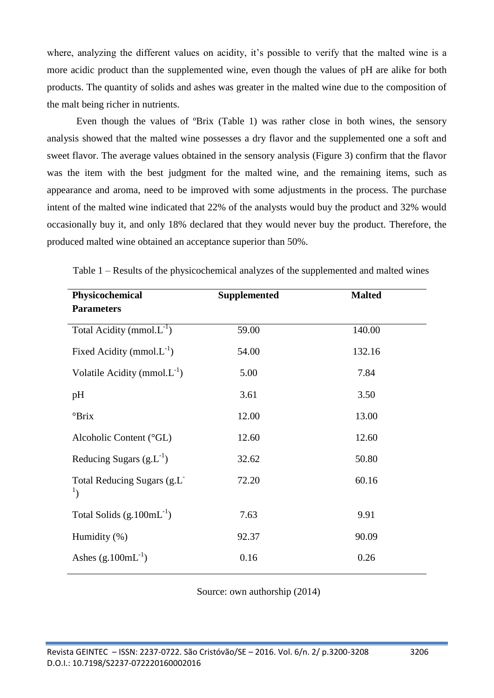where, analyzing the different values on acidity, it's possible to verify that the malted wine is a more acidic product than the supplemented wine, even though the values of pH are alike for both products. The quantity of solids and ashes was greater in the malted wine due to the composition of the malt being richer in nutrients.

Even though the values of ºBrix (Table 1) was rather close in both wines, the sensory analysis showed that the malted wine possesses a dry flavor and the supplemented one a soft and sweet flavor. The average values obtained in the sensory analysis (Figure 3) confirm that the flavor was the item with the best judgment for the malted wine, and the remaining items, such as appearance and aroma, need to be improved with some adjustments in the process. The purchase intent of the malted wine indicated that 22% of the analysts would buy the product and 32% would occasionally buy it, and only 18% declared that they would never buy the product. Therefore, the produced malted wine obtained an acceptance superior than 50%.

| Physicochemical                                                       | <b>Supplemented</b> | <b>Malted</b> |
|-----------------------------------------------------------------------|---------------------|---------------|
| <b>Parameters</b>                                                     |                     |               |
| Total Acidity (mmol. $L^{-1}$ )                                       |                     |               |
|                                                                       | 59.00               | 140.00        |
| Fixed Acidity (mmol. $L^{-1}$ )                                       | 54.00               | 132.16        |
| Volatile Acidity (mmol. $L^{-1}$ )                                    | 5.00                | 7.84          |
| pH                                                                    | 3.61                | 3.50          |
| $\mathrm{Pr}$                                                         | 12.00               | 13.00         |
| Alcoholic Content (°GL)                                               | 12.60               | 12.60         |
| Reducing Sugars $(g.L^{-1})$                                          | 32.62               | 50.80         |
| Total Reducing Sugars (g.L <sup>-</sup><br>$\mathbf{1}_{\mathcal{L}}$ | 72.20               | 60.16         |
| Total Solids $(g.100mL^{-1})$                                         | 7.63                | 9.91          |
| Humidity (%)                                                          | 92.37               | 90.09         |
| Ashes $(g.100mL^{-1})$                                                | 0.16                | 0.26          |

Table 1 – Results of the physicochemical analyzes of the supplemented and malted wines

Source: own authorship (2014)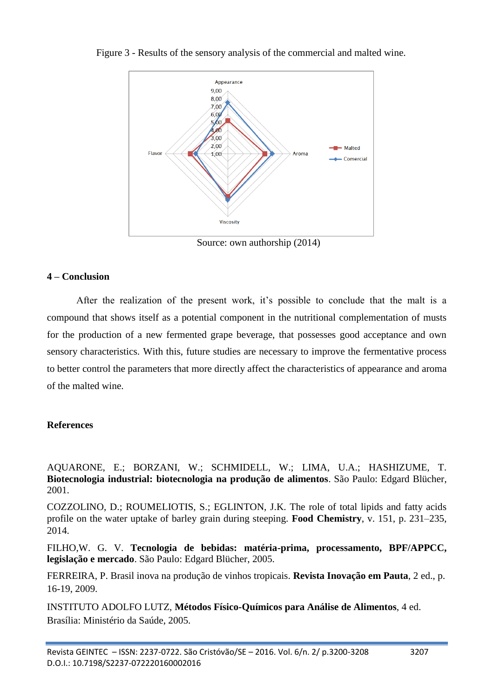

Figure 3 - Results of the sensory analysis of the commercial and malted wine.

Source: own authorship (2014)

# **4 – Conclusion**

After the realization of the present work, it's possible to conclude that the malt is a compound that shows itself as a potential component in the nutritional complementation of musts for the production of a new fermented grape beverage, that possesses good acceptance and own sensory characteristics. With this, future studies are necessary to improve the fermentative process to better control the parameters that more directly affect the characteristics of appearance and aroma of the malted wine.

## **References**

AQUARONE, E.; BORZANI, W.; SCHMIDELL, W.; LIMA, U.A.; HASHIZUME, T. **Biotecnologia industrial: biotecnologia na produção de alimentos**. São Paulo: Edgard Blücher, 2001.

COZZOLINO, D.; ROUMELIOTIS, S.; EGLINTON, J.K. The role of total lipids and fatty acids profile on the water uptake of barley grain during steeping. **Food Chemistry**, v. 151, p. 231–235, 2014.

FILHO,W. G. V. **Tecnologia de bebidas: matéria-prima, processamento, BPF/APPCC, legislação e mercado**. São Paulo: Edgard Blücher, 2005.

FERREIRA, P. Brasil inova na produção de vinhos tropicais. **Revista Inovação em Pauta**, 2 ed., p. 16-19, 2009.

INSTITUTO ADOLFO LUTZ, **Métodos Físico-Químicos para Análise de Alimentos**, 4 ed. Brasília: Ministério da Saúde, 2005.